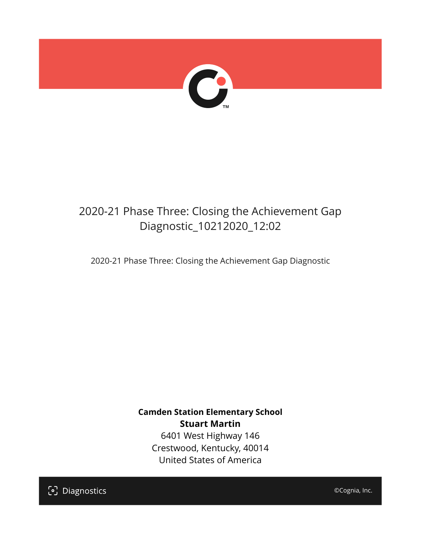

## 2020-21 Phase Three: Closing the Achievement Gap Diagnostic\_10212020\_12:02

2020-21 Phase Three: Closing the Achievement Gap Diagnostic

**Camden Station Elementary School Stuart Martin** 6401 West Highway 146 Crestwood, Kentucky, 40014

United States of America

[၁] Diagnostics

©Cognia, Inc.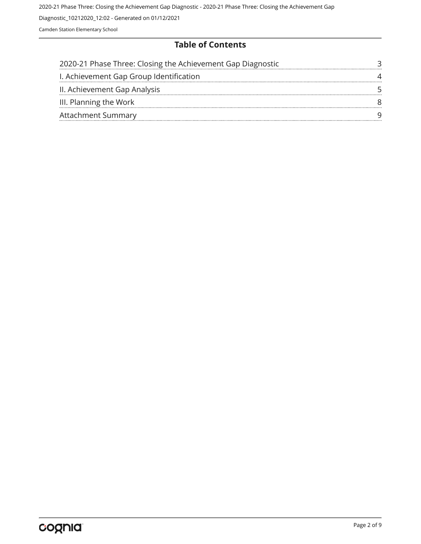2020-21 Phase Three: Closing the Achievement Gap Diagnostic - 2020-21 Phase Three: Closing the Achievement Gap

Diagnostic\_10212020\_12:02 - Generated on 01/12/2021

Camden Station Elementary School

### **Table of Contents**

| 2020-21 Phase Three: Closing the Achievement Gap Diagnostic |  |
|-------------------------------------------------------------|--|
| I. Achievement Gap Group Identification                     |  |
| II. Achievement Gap Analysis                                |  |
| III. Planning the Work                                      |  |
| <b>Attachment Summary</b>                                   |  |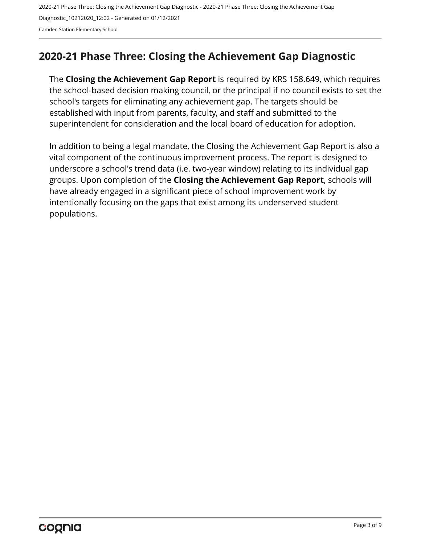## <span id="page-2-0"></span>**2020-21 Phase Three: Closing the Achievement Gap Diagnostic**

The **Closing the Achievement Gap Report** is required by KRS 158.649, which requires the school-based decision making council, or the principal if no council exists to set the school's targets for eliminating any achievement gap. The targets should be established with input from parents, faculty, and staff and submitted to the superintendent for consideration and the local board of education for adoption.

In addition to being a legal mandate, the Closing the Achievement Gap Report is also a vital component of the continuous improvement process. The report is designed to underscore a school's trend data (i.e. two-year window) relating to its individual gap groups. Upon completion of the **Closing the Achievement Gap Report**, schools will have already engaged in a significant piece of school improvement work by intentionally focusing on the gaps that exist among its underserved student populations.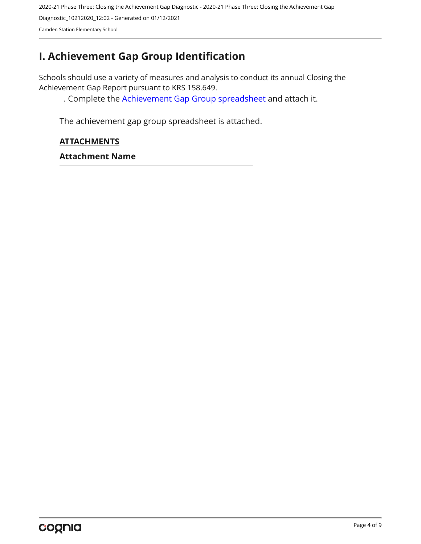## <span id="page-3-0"></span>**I. Achievement Gap Group Identification**

Schools should use a variety of measures and analysis to conduct its annual Closing the Achievement Gap Report pursuant to KRS 158.649.

. Complete the [Achievement Gap Group spreadsheet a](https://drive.google.com/file/d/0B7A6n8V1dmUOWFNKY2dSTTFibjA/view?usp=sharing)nd attach it.

The achievement gap group spreadsheet is attached.

#### **ATTACHMENTS**

**Attachment Name**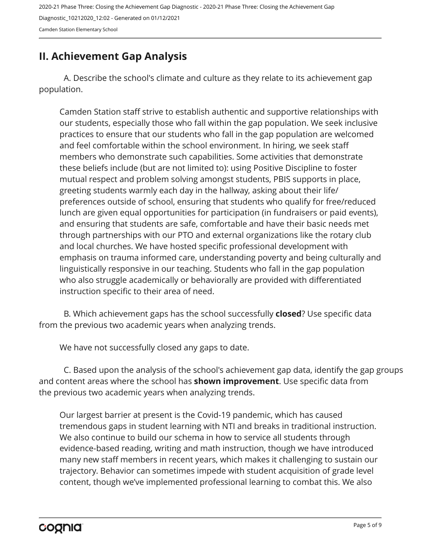## <span id="page-4-0"></span>**II. Achievement Gap Analysis**

A. Describe the school's climate and culture as they relate to its achievement gap population.

Camden Station staff strive to establish authentic and supportive relationships with our students, especially those who fall within the gap population. We seek inclusive practices to ensure that our students who fall in the gap population are welcomed and feel comfortable within the school environment. In hiring, we seek staff members who demonstrate such capabilities. Some activities that demonstrate these beliefs include (but are not limited to): using Positive Discipline to foster mutual respect and problem solving amongst students, PBIS supports in place, greeting students warmly each day in the hallway, asking about their life/ preferences outside of school, ensuring that students who qualify for free/reduced lunch are given equal opportunities for participation (in fundraisers or paid events), and ensuring that students are safe, comfortable and have their basic needs met through partnerships with our PTO and external organizations like the rotary club and local churches. We have hosted specific professional development with emphasis on trauma informed care, understanding poverty and being culturally and linguistically responsive in our teaching. Students who fall in the gap population who also struggle academically or behaviorally are provided with differentiated instruction specific to their area of need.

B. Which achievement gaps has the school successfully **closed**? Use specific data from the previous two academic years when analyzing trends.

We have not successfully closed any gaps to date.

C. Based upon the analysis of the school's achievement gap data, identify the gap groups and content areas where the school has **shown improvement**. Use specific data from the previous two academic years when analyzing trends.

Our largest barrier at present is the Covid-19 pandemic, which has caused tremendous gaps in student learning with NTI and breaks in traditional instruction. We also continue to build our schema in how to service all students through evidence-based reading, writing and math instruction, though we have introduced many new staff members in recent years, which makes it challenging to sustain our trajectory. Behavior can sometimes impede with student acquisition of grade level content, though we've implemented professional learning to combat this. We also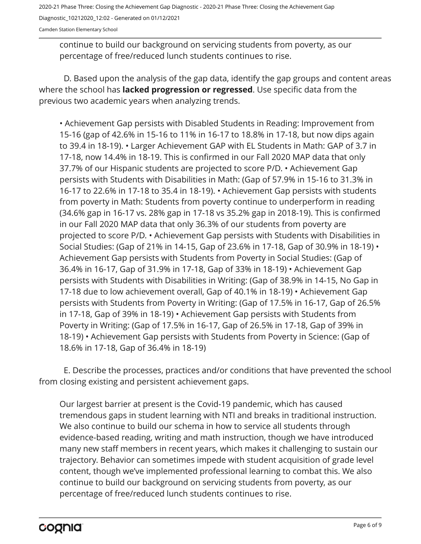2020-21 Phase Three: Closing the Achievement Gap Diagnostic - 2020-21 Phase Three: Closing the Achievement Gap Diagnostic\_10212020\_12:02 - Generated on 01/12/2021

Camden Station Elementary School

continue to build our background on servicing students from poverty, as our percentage of free/reduced lunch students continues to rise.

D. Based upon the analysis of the gap data, identify the gap groups and content areas where the school has **lacked progression or regressed**. Use specific data from the previous two academic years when analyzing trends.

• Achievement Gap persists with Disabled Students in Reading: Improvement from 15-16 (gap of 42.6% in 15-16 to 11% in 16-17 to 18.8% in 17-18, but now dips again to 39.4 in 18-19). • Larger Achievement GAP with EL Students in Math: GAP of 3.7 in 17-18, now 14.4% in 18-19. This is confirmed in our Fall 2020 MAP data that only 37.7% of our Hispanic students are projected to score P/D. • Achievement Gap persists with Students with Disabilities in Math: (Gap of 57.9% in 15-16 to 31.3% in 16-17 to 22.6% in 17-18 to 35.4 in 18-19). • Achievement Gap persists with students from poverty in Math: Students from poverty continue to underperform in reading (34.6% gap in 16-17 vs. 28% gap in 17-18 vs 35.2% gap in 2018-19). This is confirmed in our Fall 2020 MAP data that only 36.3% of our students from poverty are projected to score P/D. • Achievement Gap persists with Students with Disabilities in Social Studies: (Gap of 21% in 14-15, Gap of 23.6% in 17-18, Gap of 30.9% in 18-19) • Achievement Gap persists with Students from Poverty in Social Studies: (Gap of 36.4% in 16-17, Gap of 31.9% in 17-18, Gap of 33% in 18-19) • Achievement Gap persists with Students with Disabilities in Writing: (Gap of 38.9% in 14-15, No Gap in 17-18 due to low achievement overall, Gap of 40.1% in 18-19) • Achievement Gap persists with Students from Poverty in Writing: (Gap of 17.5% in 16-17, Gap of 26.5% in 17-18, Gap of 39% in 18-19) • Achievement Gap persists with Students from Poverty in Writing: (Gap of 17.5% in 16-17, Gap of 26.5% in 17-18, Gap of 39% in 18-19) • Achievement Gap persists with Students from Poverty in Science: (Gap of 18.6% in 17-18, Gap of 36.4% in 18-19)

E. Describe the processes, practices and/or conditions that have prevented the school from closing existing and persistent achievement gaps.

Our largest barrier at present is the Covid-19 pandemic, which has caused tremendous gaps in student learning with NTI and breaks in traditional instruction. We also continue to build our schema in how to service all students through evidence-based reading, writing and math instruction, though we have introduced many new staff members in recent years, which makes it challenging to sustain our trajectory. Behavior can sometimes impede with student acquisition of grade level content, though we've implemented professional learning to combat this. We also continue to build our background on servicing students from poverty, as our percentage of free/reduced lunch students continues to rise.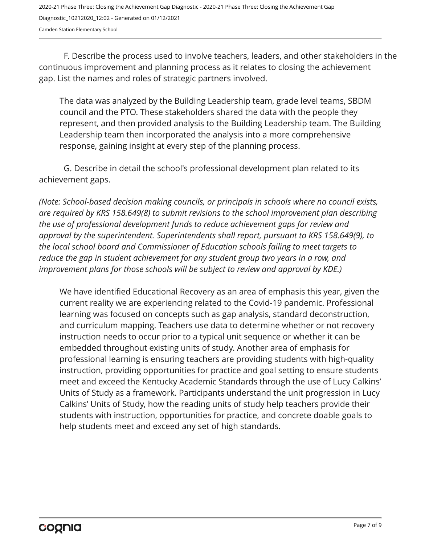F. Describe the process used to involve teachers, leaders, and other stakeholders in the continuous improvement and planning process as it relates to closing the achievement gap. List the names and roles of strategic partners involved.

The data was analyzed by the Building Leadership team, grade level teams, SBDM council and the PTO. These stakeholders shared the data with the people they represent, and then provided analysis to the Building Leadership team. The Building Leadership team then incorporated the analysis into a more comprehensive response, gaining insight at every step of the planning process.

G. Describe in detail the school's professional development plan related to its achievement gaps.

*(Note: School-based decision making councils, or principals in schools where no council exists, are required by KRS 158.649(8) to submit revisions to the school improvement plan describing the use of professional development funds to reduce achievement gaps for review and approval by the superintendent. Superintendents shall report, pursuant to KRS 158.649(9), to the local school board and Commissioner of Education schools failing to meet targets to reduce the gap in student achievement for any student group two years in a row, and improvement plans for those schools will be subject to review and approval by KDE.)* 

We have identified Educational Recovery as an area of emphasis this year, given the current reality we are experiencing related to the Covid-19 pandemic. Professional learning was focused on concepts such as gap analysis, standard deconstruction, and curriculum mapping. Teachers use data to determine whether or not recovery instruction needs to occur prior to a typical unit sequence or whether it can be embedded throughout existing units of study. Another area of emphasis for professional learning is ensuring teachers are providing students with high-quality instruction, providing opportunities for practice and goal setting to ensure students meet and exceed the Kentucky Academic Standards through the use of Lucy Calkins' Units of Study as a framework. Participants understand the unit progression in Lucy Calkins' Units of Study, how the reading units of study help teachers provide their students with instruction, opportunities for practice, and concrete doable goals to help students meet and exceed any set of high standards.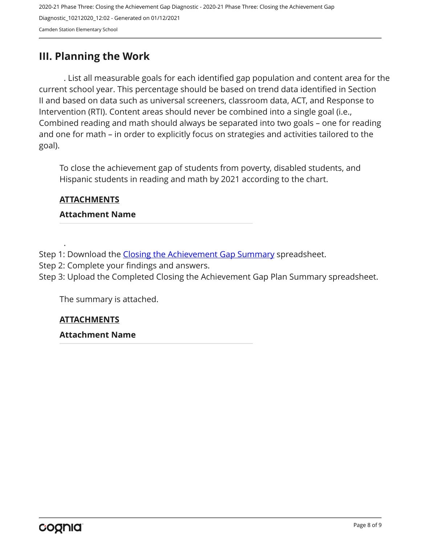## <span id="page-7-0"></span>**III. Planning the Work**

. List all measurable goals for each identified gap population and content area for the current school year. This percentage should be based on trend data identified in Section II and based on data such as universal screeners, classroom data, ACT, and Response to Intervention (RTI). Content areas should never be combined into a single goal (i.e., Combined reading and math should always be separated into two goals – one for reading and one for math – in order to explicitly focus on strategies and activities tailored to the goal).

To close the achievement gap of students from poverty, disabled students, and Hispanic students in reading and math by 2021 according to the chart.

### **ATTACHMENTS**

.

#### **Attachment Name**

Step 1: Download the [Closing the Achievement Gap Summary](https://drive.google.com/file/d/0B6i22i6omk4ySmUtTHZuSVRFazQ/view) spreadsheet.

Step 2: Complete your findings and answers.

Step 3: Upload the Completed Closing the Achievement Gap Plan Summary spreadsheet.

The summary is attached.

## **ATTACHMENTS**

#### **Attachment Name**